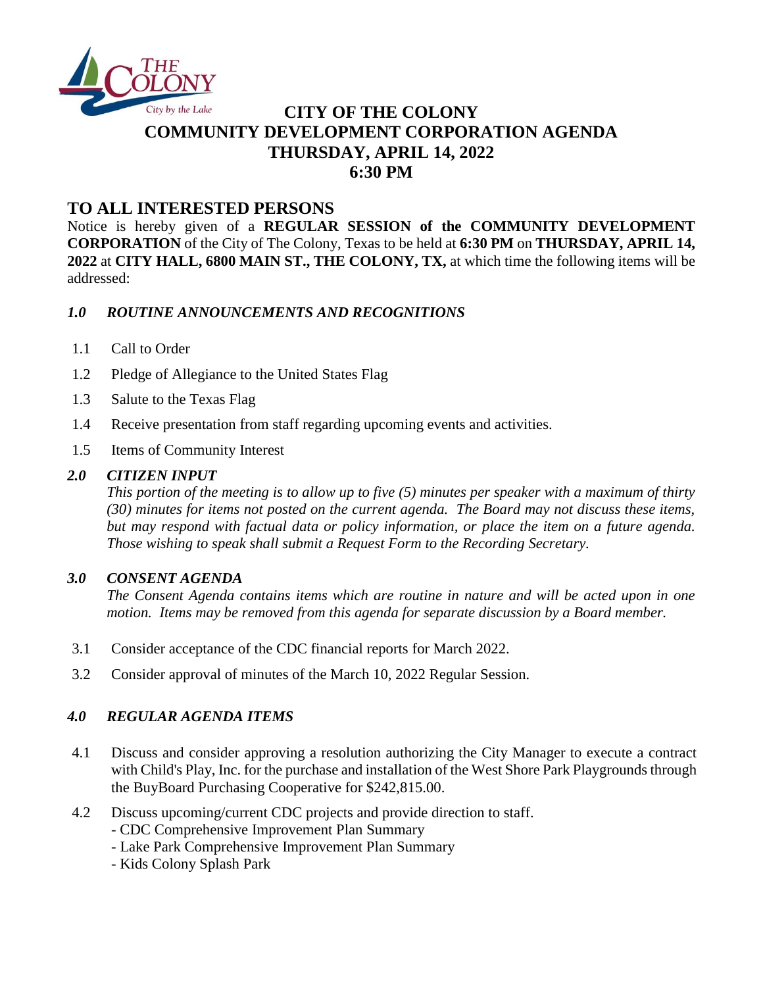

# **CITY OF THE COLONY COMMUNITY DEVELOPMENT CORPORATION AGENDA THURSDAY, APRIL 14, 2022 6:30 PM**

## **TO ALL INTERESTED PERSONS**

Notice is hereby given of a **REGULAR SESSION of the COMMUNITY DEVELOPMENT CORPORATION** of the City of The Colony, Texas to be held at **6:30 PM** on **THURSDAY, APRIL 14, 2022** at **CITY HALL, 6800 MAIN ST., THE COLONY, TX,** at which time the following items will be addressed:

#### *1.0 ROUTINE ANNOUNCEMENTS AND RECOGNITIONS*

- 1.1 Call to Order
- 1.2 Pledge of Allegiance to the United States Flag
- 1.3 Salute to the Texas Flag
- 1.4 Receive presentation from staff regarding upcoming events and activities.
- 1.5 Items of Community Interest

#### *2.0 CITIZEN INPUT*

*This portion of the meeting is to allow up to five (5) minutes per speaker with a maximum of thirty (30) minutes for items not posted on the current agenda. The Board may not discuss these items, but may respond with factual data or policy information, or place the item on a future agenda. Those wishing to speak shall submit a Request Form to the Recording Secretary.*

#### *3.0 CONSENT AGENDA*

*The Consent Agenda contains items which are routine in nature and will be acted upon in one motion. Items may be removed from this agenda for separate discussion by a Board member.*

- 3.1 Consider acceptance of the CDC financial reports for March 2022.
- 3.2 Consider approval of minutes of the March 10, 2022 Regular Session.

### *4.0 REGULAR AGENDA ITEMS*

- 4.1 Discuss and consider approving a resolution authorizing the City Manager to execute a contract with Child's Play, Inc. for the purchase and installation of the West Shore Park Playgrounds through the BuyBoard Purchasing Cooperative for \$242,815.00.
- 4.2 Discuss upcoming/current CDC projects and provide direction to staff.
	- CDC Comprehensive Improvement Plan Summary
	- Lake Park Comprehensive Improvement Plan Summary
	- Kids Colony Splash Park